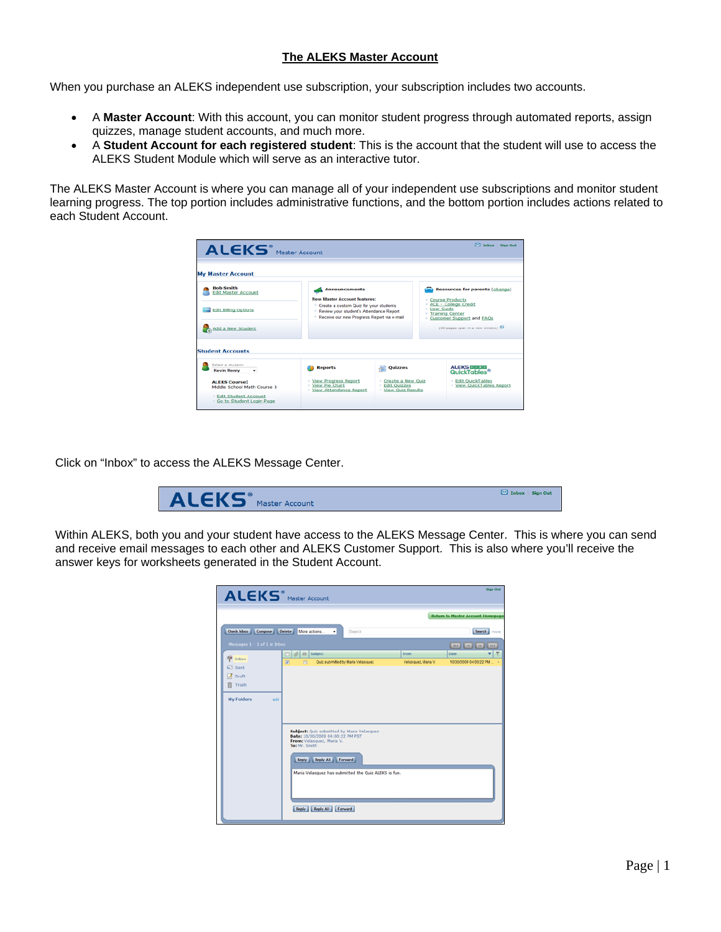## **The ALEKS Master Account**

When you purchase an ALEKS independent use subscription, your subscription includes two accounts.

- A **Master Account**: With this account, you can monitor student progress through automated reports, assign quizzes, manage student accounts, and much more.
- A **Student Account for each registered student**: This is the account that the student will use to access the ALEKS Student Module which will serve as an interactive tutor.

The ALEKS Master Account is where you can manage all of your independent use subscriptions and monitor student learning progress. The top portion includes administrative functions, and the bottom portion includes actions related to each Student Account.

| ALEKS <sup>®</sup> Master Account<br><b>My Master Account</b>      |                                                                                                                                                             |                                       |                                                                                            | <b>ES Inbox   Sign Out</b>                                 |
|--------------------------------------------------------------------|-------------------------------------------------------------------------------------------------------------------------------------------------------------|---------------------------------------|--------------------------------------------------------------------------------------------|------------------------------------------------------------|
| <b>Bob Smith</b><br><b>Edit Master Account</b>                     | <b>Announcements</b><br><b>New Master Account features:</b>                                                                                                 |                                       |                                                                                            | <b>Resources for parents (change)</b><br>- Course Products |
| <b>Edit Billing Options</b>                                        | <sup>=</sup> Create a custom Quiz for your students<br><sup>1</sup> Review your student's Attendance Report<br>- Receive our new Progress Report via e-mail |                                       | - ACE - College Credit<br>- User Guide<br>- Training Center<br>- Customer Support and EAOs |                                                            |
| Add a New Student                                                  |                                                                                                                                                             |                                       |                                                                                            | (All pages open in a new window)                           |
| <b>Student Accounts</b><br>Select a student:<br><b>Kevin Henry</b> | <b>Reports</b>                                                                                                                                              | Quizzes                               |                                                                                            | <b>ALEKSMEND</b><br>QuickTables®                           |
| <b>ALEKS Course:</b>                                               | - View Progress Report                                                                                                                                      | - Create a New Ouiz                   |                                                                                            | <b>Edit QuickTables</b>                                    |
| Middle School Math Course 3                                        | - View Pie Chart<br>- View Attendance Report                                                                                                                | · Edit Ouizzes<br>- View Quiz Results |                                                                                            | - View QuickTables Report                                  |
| · Edit Student Account<br>Go to Student Login Page                 |                                                                                                                                                             |                                       |                                                                                            |                                                            |

Click on "Inbox" to access the ALEKS Message Center.



Within ALEKS, both you and your student have access to the ALEKS Message Center. This is where you can send and receive email messages to each other and ALEKS Customer Support. This is also where you'll receive the answer keys for worksheets generated in the Student Account.

| ALEKS <sup>®</sup> Master Account                                                                                                                        |                                                      |                     | <b>Sign Out</b>                          |
|----------------------------------------------------------------------------------------------------------------------------------------------------------|------------------------------------------------------|---------------------|------------------------------------------|
|                                                                                                                                                          |                                                      |                     | <b>Return to Master Account Homepage</b> |
| <b>Check Inbox</b><br><b>Compose</b><br>Delete<br>More actions<br>٠                                                                                      | Search                                               |                     | Search<br>more                           |
| Messages 1 - 1 of 1 in Inbox                                                                                                                             |                                                      |                     |                                          |
| <b>Subject</b><br>O<br><sup>n</sup> Inbox                                                                                                                |                                                      | From                | ۳<br>Date                                |
| 図<br>図<br><b>GL</b> Sent                                                                                                                                 | Quiz submitted by Maria Velasquez                    | Velasquez, Maria V. | 10/30/2009 04:00:22 PM<br>ä              |
| J Draft                                                                                                                                                  |                                                      |                     |                                          |
| Ĥ<br>Trash                                                                                                                                               |                                                      |                     |                                          |
|                                                                                                                                                          |                                                      |                     |                                          |
| <b>My Folders</b><br>add<br>Subject: Quiz submitted by Maria Velasquez<br>Date: 10/30/2009 04:00:22 PM PST<br>From: Velasquez, Maria V.<br>To: Mr. Smith |                                                      |                     |                                          |
| Reply Reply All Forward                                                                                                                                  |                                                      |                     |                                          |
| Reply Reply All Forward                                                                                                                                  | Maria Velasquez has submitted the Quiz ALEKS is fun. |                     |                                          |
|                                                                                                                                                          |                                                      |                     |                                          |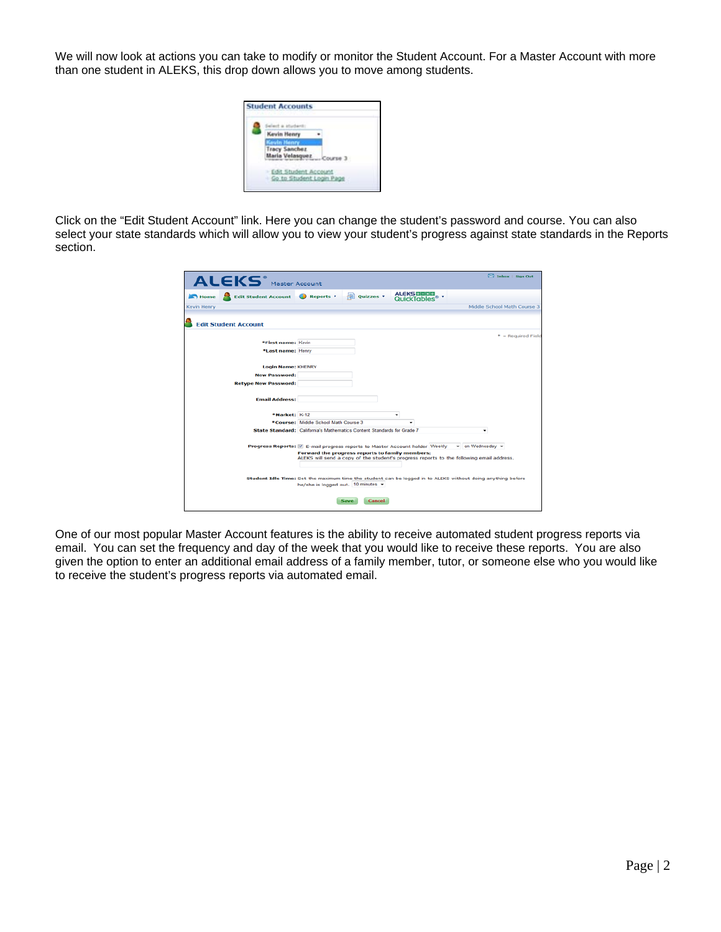We will now look at actions you can take to modify or monitor the Student Account. For a Master Account with more than one student in ALEKS, this drop down allows you to move among students.

| Kevin Henry                     |
|---------------------------------|
|                                 |
| racy Sanchez<br>Luria Velasquez |

Click on the "Edit Student Account" link. Here you can change the student's password and course. You can also select your state standards which will allow you to view your student's progress against state standards in the Reports section.

|             | ALEKS <sup>®</sup> Master Account           |                                      |                                                                        |                                                                                     | 1nbox   Sign Out                                                                                            |
|-------------|---------------------------------------------|--------------------------------------|------------------------------------------------------------------------|-------------------------------------------------------------------------------------|-------------------------------------------------------------------------------------------------------------|
| Home        | <b>Edit Student Account &amp; Reports v</b> |                                      | <b>Quizzes *</b>                                                       | <b>ALEKS DEED</b><br>QuickTables®'                                                  |                                                                                                             |
| Kevin Henry |                                             |                                      |                                                                        |                                                                                     | Middle School Math Course 3                                                                                 |
|             | <b>Edit Student Account</b>                 |                                      |                                                                        |                                                                                     |                                                                                                             |
|             |                                             |                                      |                                                                        |                                                                                     | $*$ = Required Field                                                                                        |
|             | *First name: Kevin                          |                                      |                                                                        |                                                                                     |                                                                                                             |
|             | *Last name: Henry                           |                                      |                                                                        |                                                                                     |                                                                                                             |
|             | <b>Login Name: KHENRY</b>                   |                                      |                                                                        |                                                                                     |                                                                                                             |
|             | <b>New Password:</b>                        |                                      |                                                                        |                                                                                     |                                                                                                             |
|             | <b>Retype New Password:</b>                 |                                      |                                                                        |                                                                                     |                                                                                                             |
|             |                                             |                                      |                                                                        |                                                                                     |                                                                                                             |
|             | <b>Email Address:</b>                       |                                      |                                                                        |                                                                                     |                                                                                                             |
|             |                                             |                                      |                                                                        |                                                                                     |                                                                                                             |
|             | *Market: K-12                               |                                      |                                                                        | ٠                                                                                   |                                                                                                             |
|             |                                             | *Course: Middle School Math Course 3 |                                                                        |                                                                                     |                                                                                                             |
|             |                                             |                                      | State Standard: California's Mathematics Content Standards for Grade 7 |                                                                                     | ٠                                                                                                           |
|             |                                             |                                      |                                                                        | Progress Reports: $\boxdot$ E-mail progress reports to Master Account holder Weekly | $\blacktriangleright$ on Wednesday $\blacktriangleright$                                                    |
|             |                                             |                                      | Forward the progress reports to family members:                        |                                                                                     |                                                                                                             |
|             |                                             |                                      |                                                                        |                                                                                     | ALEKS will send a copy of the student's progress reports to the following email address.                    |
|             |                                             |                                      |                                                                        |                                                                                     |                                                                                                             |
|             |                                             |                                      |                                                                        |                                                                                     | Student Idle Time: Set the maximum time the student can be logged in to ALEKS without doing anything before |
|             |                                             | he/she is logged out. 10 minutes =   |                                                                        |                                                                                     |                                                                                                             |
|             |                                             |                                      |                                                                        |                                                                                     |                                                                                                             |
|             |                                             |                                      | Save<br><b>Cancel</b>                                                  |                                                                                     |                                                                                                             |

One of our most popular Master Account features is the ability to receive automated student progress reports via email. You can set the frequency and day of the week that you would like to receive these reports. You are also given the option to enter an additional email address of a family member, tutor, or someone else who you would like to receive the student's progress reports via automated email.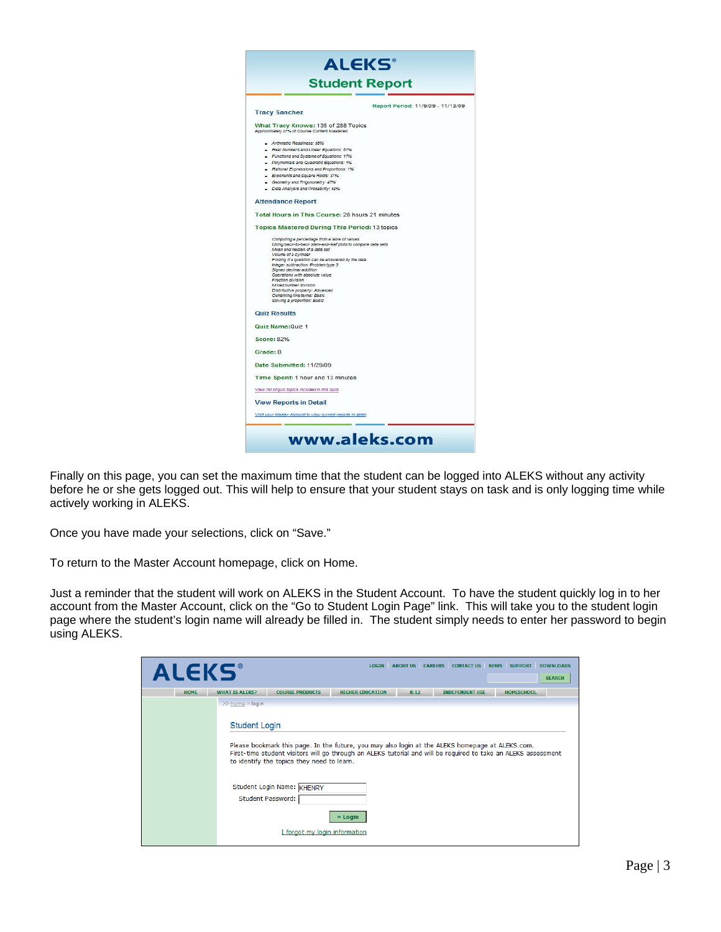

Finally on this page, you can set the maximum time that the student can be logged into ALEKS without any activity before he or she gets logged out. This will help to ensure that your student stays on task and is only logging time while actively working in ALEKS.

Once you have made your selections, click on "Save."

To return to the Master Account homepage, click on Home.

Just a reminder that the student will work on ALEKS in the Student Account. To have the student quickly log in to her account from the Master Account, click on the "Go to Student Login Page" link. This will take you to the student login page where the student's login name will already be filled in. The student simply needs to enter her password to begin using ALEKS.

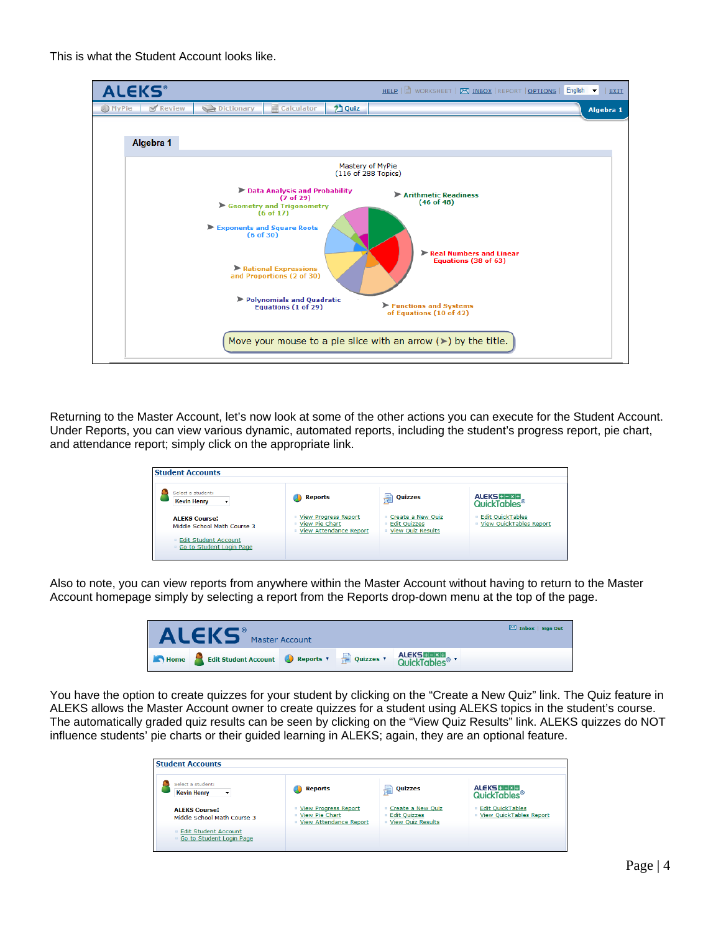This is what the Student Account looks like.



Returning to the Master Account, let's now look at some of the other actions you can execute for the Student Account. Under Reports, you can view various dynamic, automated reports, including the student's progress report, pie chart, and attendance report; simply click on the appropriate link.

| Select a student:<br><b>Kevin Henry</b>                 | Reports                                                                                 | 唐<br><b>Quizzes</b>                                                  | <b>ALEKS HEIXE</b><br>QuickTables®                       |
|---------------------------------------------------------|-----------------------------------------------------------------------------------------|----------------------------------------------------------------------|----------------------------------------------------------|
| <b>ALEKS Course:</b><br>Middle School Math Course 3     | <b>View Progress Report</b><br><b>E</b> View Pie Chart<br><b>View Attendance Report</b> | Create a New Quiz<br><b>Edit Ouizzes</b><br><b>View Quiz Results</b> | <b>Edit QuickTables</b><br>o.<br>View QuickTables Report |
| <b>Edit Student Account</b><br>Go to Student Login Page |                                                                                         |                                                                      |                                                          |

Also to note, you can view reports from anywhere within the Master Account without having to return to the Master Account homepage simply by selecting a report from the Reports drop-down menu at the top of the page.

| <b>ALEKS</b>                                      | Master Account |                     | Inbox   Sign Out |
|---------------------------------------------------|----------------|---------------------|------------------|
| Home Edit Student Account Reports v and Quizzes v |                | <b>ALEKS HEMB 7</b> |                  |

You have the option to create quizzes for your student by clicking on the "Create a New Quiz" link. The Quiz feature in ALEKS allows the Master Account owner to create quizzes for a student using ALEKS topics in the student's course. The automatically graded quiz results can be seen by clicking on the "View Quiz Results" link. ALEKS quizzes do NOT influence students' pie charts or their guided learning in ALEKS; again, they are an optional feature.

| Select a student:<br><b>Kevin Henry</b><br>۰            | <b>Reports</b>                                                                                        | <b>Quizzes</b><br>튐                                                  | <b>ALEKS HEXE</b><br>QuickTables <sup>®</sup>      |
|---------------------------------------------------------|-------------------------------------------------------------------------------------------------------|----------------------------------------------------------------------|----------------------------------------------------|
| <b>ALEKS Course:</b><br>Middle School Math Course 3     | <b>View Progress Report</b><br>$\Box$<br><b>View Pie Chart</b><br><b>View Attendance Report</b><br>o. | Create a New Quiz<br><b>Edit Ouizzes</b><br><b>View Quiz Results</b> | <b>Edit QuickTables</b><br>View QuickTables Report |
| <b>Edit Student Account</b><br>Go to Student Login Page |                                                                                                       |                                                                      |                                                    |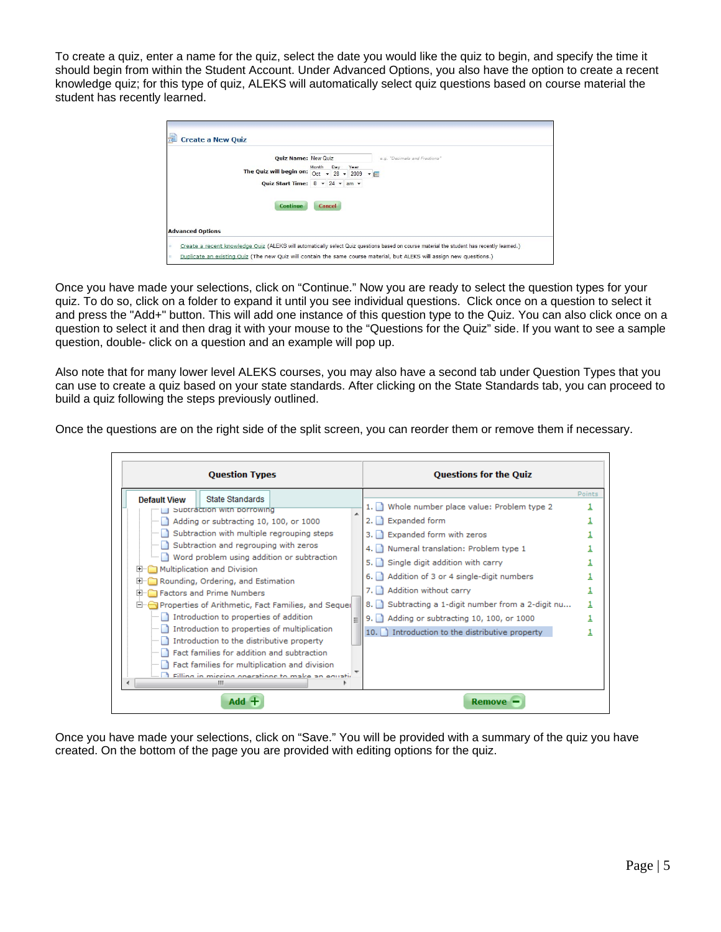To create a quiz, enter a name for the quiz, select the date you would like the quiz to begin, and specify the time it should begin from within the Student Account. Under Advanced Options, you also have the option to create a recent knowledge quiz; for this type of quiz, ALEKS will automatically select quiz questions based on course material the student has recently learned.

|                         | <b>Quiz Name: New Quiz</b><br>e.g. "Decimals and Fractions"           |
|-------------------------|-----------------------------------------------------------------------|
|                         | Month<br>Day<br>Year                                                  |
|                         | The Quiz will begin on: $\overline{Oct}$ + 28 + 2009 + $\overline{m}$ |
|                         | Quiz Start Time: $8 \div 24 \div am \div$                             |
|                         |                                                                       |
|                         | <b>Continue</b><br>Cancel                                             |
|                         |                                                                       |
| <b>Advanced Options</b> |                                                                       |

Once you have made your selections, click on "Continue." Now you are ready to select the question types for your quiz. To do so, click on a folder to expand it until you see individual questions. Click once on a question to select it and press the "Add+" button. This will add one instance of this question type to the Quiz. You can also click once on a question to select it and then drag it with your mouse to the "Questions for the Quiz" side. If you want to see a sample question, double- click on a question and an example will pop up.

Also note that for many lower level ALEKS courses, you may also have a second tab under Question Types that you can use to create a quiz based on your state standards. After clicking on the State Standards tab, you can proceed to build a quiz following the steps previously outlined.

Once the questions are on the right side of the split screen, you can reorder them or remove them if necessary.

| <b>Question Types</b>                                                                                                                                                                                                                                                                                                                                                                                                                                                                                                                                                                                                                                                                                                                                   |   | <b>Questions for the Quiz</b>                                                                                                                                                                                                                                                                                                                                                                                     |        |
|---------------------------------------------------------------------------------------------------------------------------------------------------------------------------------------------------------------------------------------------------------------------------------------------------------------------------------------------------------------------------------------------------------------------------------------------------------------------------------------------------------------------------------------------------------------------------------------------------------------------------------------------------------------------------------------------------------------------------------------------------------|---|-------------------------------------------------------------------------------------------------------------------------------------------------------------------------------------------------------------------------------------------------------------------------------------------------------------------------------------------------------------------------------------------------------------------|--------|
| State Standards<br><b>Default View</b><br>Subtraction with porrowing<br>Adding or subtracting 10, 100, or 1000<br>Subtraction with multiple regrouping steps<br>Subtraction and regrouping with zeros<br>Word problem using addition or subtraction<br>Multiplication and Division<br>$+$<br>Rounding, Ordering, and Estimation<br>$\overline{+}$<br>Factors and Prime Numbers<br>$\overline{+}$<br>Properties of Arithmetic, Fact Families, and Sequel<br>Introduction to properties of addition<br>Introduction to properties of multiplication<br>Introduction to the distributive property<br>Fact families for addition and subtraction<br>Fact families for multiplication and division<br>Filling in missing operations to make an equation<br>ш | ▲ | 1. Whole number place value: Problem type 2<br>2. Expanded form<br>3. Expanded form with zeros<br>4. Numeral translation: Problem type 1<br>5. Single digit addition with carry<br>6. Addition of 3 or 4 single-digit numbers<br>7. Addition without carry<br>8. Subtracting a 1-digit number from a 2-digit nu<br>9. Adding or subtracting 10, 100, or 1000<br>10. The Introduction to the distributive property | Points |
| Add                                                                                                                                                                                                                                                                                                                                                                                                                                                                                                                                                                                                                                                                                                                                                     |   | <b>Remove</b>                                                                                                                                                                                                                                                                                                                                                                                                     |        |

Once you have made your selections, click on "Save." You will be provided with a summary of the quiz you have created. On the bottom of the page you are provided with editing options for the quiz.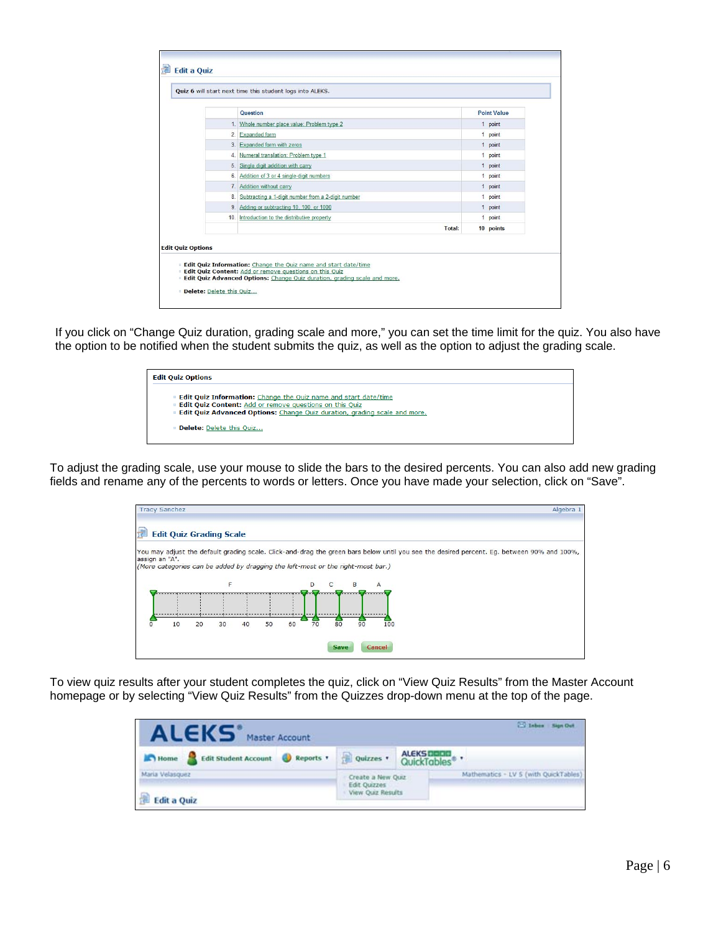|    | Question                                           | <b>Point Value</b> |
|----|----------------------------------------------------|--------------------|
|    | 1. Whole number place value: Problem type 2        | 1 point            |
|    | 2. Expanded form                                   | 1 point            |
|    | 3. Expanded form with zeros                        | 1 point            |
|    | 4. Numeral translation: Problem type 1             | 1 point            |
|    | 5. Single digit addition with carry                | 1 point            |
| 6. | Addition of 3 or 4 single-digit numbers            | 1 point            |
| 7. | Addition without carry                             | 1 point            |
| 8. | Subtracting a 1-digit number from a 2-digit number | 1 point            |
|    | 9. Adding or subtracting 10, 100, or 1000          | 1 point            |
|    | 10. Introduction to the distributive property      | 1 point            |
|    | Total:                                             | 10 points          |

If you click on "Change Quiz duration, grading scale and more," you can set the time limit for the quiz. You also have the option to be notified when the student submits the quiz, as well as the option to adjust the grading scale.



To adjust the grading scale, use your mouse to slide the bars to the desired percents. You can also add new grading fields and rename any of the percents to words or letters. Once you have made your selection, click on "Save".

| 扂<br><b>Edit Quiz Grading Scale</b><br>You may adjust the default grading scale. Click-and-drag the green bars below until you see the desired percent. Eg. between 90% and 100%,<br>assign an "A".<br>(More categories can be added by dragging the left-most or the right-most bar.)<br>F<br>D.<br><b>B</b><br>А |
|--------------------------------------------------------------------------------------------------------------------------------------------------------------------------------------------------------------------------------------------------------------------------------------------------------------------|
|                                                                                                                                                                                                                                                                                                                    |
|                                                                                                                                                                                                                                                                                                                    |
|                                                                                                                                                                                                                                                                                                                    |
|                                                                                                                                                                                                                                                                                                                    |
| 80<br>70<br>50<br>60<br>90<br>100<br>10<br>20<br>30<br>40                                                                                                                                                                                                                                                          |

To view quiz results after your student completes the quiz, click on "View Quiz Results" from the Master Account homepage or by selecting "View Quiz Results" from the Quizzes drop-down menu at the top of the page.

| <b>ALEKS'</b><br>Master Account       |                                                        |            | 23 Inbes Sign Out                     |
|---------------------------------------|--------------------------------------------------------|------------|---------------------------------------|
| Home Edit Student Account & Reports   | Quizzes .                                              | ALEKS DOOD |                                       |
| Maria Velasquez<br><b>Edit a Quiz</b> | Create a New Quiz<br>Edit Quizzes<br>View Quiz Results |            | Mathematics - LV 5 (with QuickTables) |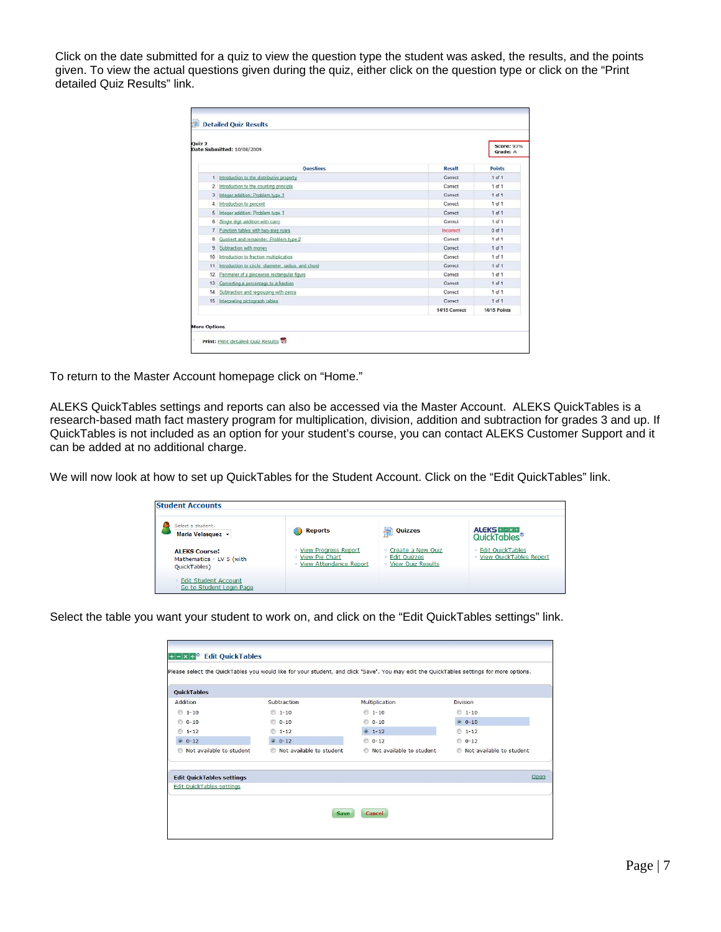Click on the date submitted for a quiz to view the question type the student was asked, the results, and the points given. To view the actual questions given during the quiz, either click on the question type or click on the "Print detailed Quiz Results" link.

| Ouiz <sub>2</sub> | Date Submitted: 10/08/2009                          |               | <b>Score: 93%</b><br>Grade: A |
|-------------------|-----------------------------------------------------|---------------|-------------------------------|
|                   | <b>Ouestions</b>                                    | Recolt        | <b>Points</b>                 |
|                   | 1. Introduction to the distributive property        | Correct       | $1$ of $1$                    |
| 2.1               | Introduction to the counting principle.             | Correct       | $1$ of $1$                    |
|                   | 3. Integer addition: Problem type 1                 | Correct       | $1$ of $1$                    |
| 4.                | Introduction to percent                             | Correct       | 1 of 1                        |
| 5.                | Integer addition: Problem type 1                    | Correct       | $1$ of $1$                    |
|                   | 6. Single digit addition with carry                 | Correct       | $1$ of $1$                    |
| T.                | Function tables with two-step rules                 | Incorrect     | $0$ of $1$                    |
| 8.                | Quotient and remainder: Problem type 2              | Correct       | $1$ of $1$                    |
| 9                 | Subtraction with money                              | Correct       | $1$ of $1$                    |
|                   | 10. Introduction to fraction multiplication         | Correct       | $1$ of $1$                    |
| 11.               | Introduction to circle: diameter, radius, and chord | Correct       | $1$ of $1$                    |
| 12.               | Perimeter of a piecewise rectangular figure         | Correct       | $1$ of $1$                    |
|                   | 13. Converting a percentage to a fraction           | Correct       | $1$ of $1$                    |
|                   | 14. Subtraction and regrouping with zeros           | Correct       | $1$ of $1$                    |
|                   | 15. Interpreting pictograph tables                  | Correct       | $1$ of $1$                    |
|                   |                                                     | 14/15 Correct | <b>14/15 Points</b>           |

To return to the Master Account homepage click on "Home."

ALEKS QuickTables settings and reports can also be accessed via the Master Account. ALEKS QuickTables is a research-based math fact mastery program for multiplication, division, addition and subtraction for grades 3 and up. If QuickTables is not included as an option for your student's course, you can contact ALEKS Customer Support and it can be added at no additional charge.

We will now look at how to set up QuickTables for the Student Account. Click on the "Edit QuickTables" link.

| Select a student:<br>Maria Velasquez v                           | <b>Reports</b>                                                                 | <b>Quizzes</b><br>튐                                                  | <b>ALEKS + - x +</b><br>QuickTables <sup>®</sup>     |
|------------------------------------------------------------------|--------------------------------------------------------------------------------|----------------------------------------------------------------------|------------------------------------------------------|
| <b>ALEKS Course:</b><br>Mathematics - LV 5 (with<br>QuickTables) | <b>View Progress Report</b><br><b>View Pie Chart</b><br>View Attendance Report | Create a New Quiz<br><b>Edit Ouizzes</b><br><b>View Quiz Results</b> | ■ Edit OuickTables<br><b>View QuickTables Report</b> |
| <b>Edit Student Account</b><br>Go to Student Login Page          |                                                                                |                                                                      |                                                      |

Select the table you want your student to work on, and click on the "Edit QuickTables settings" link.

| <b>OuickTables</b>               |                             |                          |                          |
|----------------------------------|-----------------------------|--------------------------|--------------------------|
| Addition                         | Subtraction                 | Multiplication           | <b>Division</b>          |
| $01-10$                          | $01-10$                     | $01-10$                  | $01-10$                  |
| $0 - 10$                         | $0 - 10$                    | $0 - 10$                 | $0$ 0-10                 |
| $1 - 12$<br>$\circ$              | $01-12$                     | $0 \t1-12$               | $01-12$                  |
| $0 0 - 12$                       | $0 0 - 12$                  | $0 - 12$                 | $0 - 12$                 |
| Not available to student         | to Not available to student | Not available to student | Not available to student |
| <b>Edit QuickTables settings</b> |                             |                          | Open                     |
| Edit QuickTables settings        |                             |                          |                          |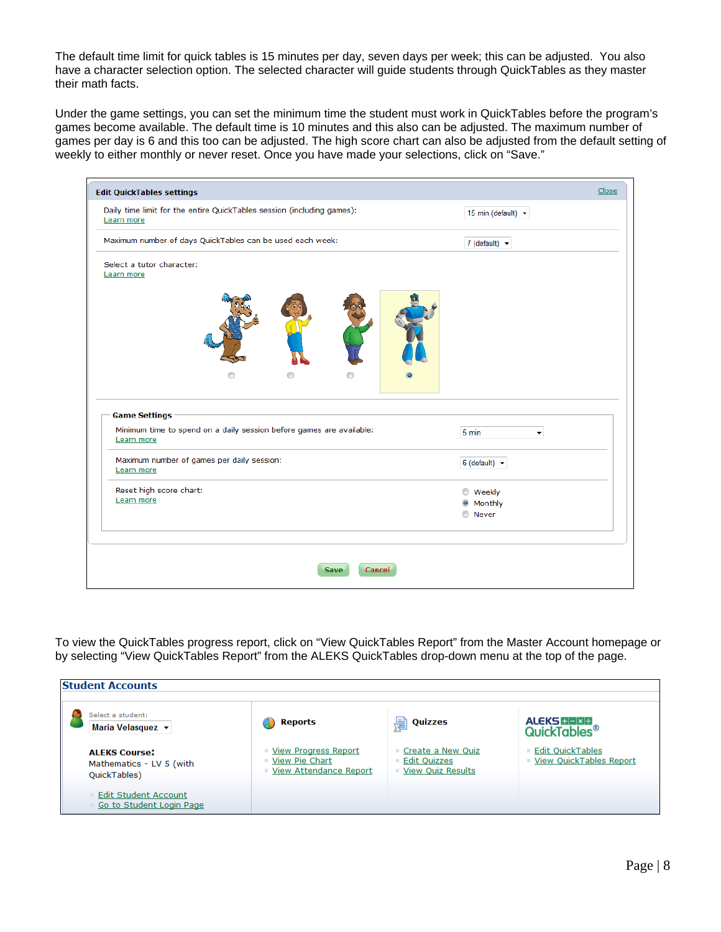The default time limit for quick tables is 15 minutes per day, seven days per week; this can be adjusted. You also have a character selection option. The selected character will guide students through QuickTables as they master their math facts.

Under the game settings, you can set the minimum time the student must work in QuickTables before the program's games become available. The default time is 10 minutes and this also can be adjusted. The maximum number of games per day is 6 and this too can be adjusted. The high score chart can also be adjusted from the default setting of weekly to either monthly or never reset. Once you have made your selections, click on "Save."

| <b>Edit QuickTables settings</b>                                                             | Close                                  |
|----------------------------------------------------------------------------------------------|----------------------------------------|
| Daily time limit for the entire QuickTables session (including games):<br>Learn more         | 15 min (default) $\blacktriangleright$ |
| Maximum number of days QuickTables can be used each week:                                    | 7 (default) $\blacktriangledown$       |
| Select a tutor character:<br>Learn more                                                      |                                        |
|                                                                                              |                                        |
| <b>Game Settings</b><br>Minimum time to spend on a daily session before games are available: | 5 min<br>۰                             |
| Learn more                                                                                   |                                        |
| Maximum number of games per daily session:<br>Learn more                                     | 6 (default) $\sim$                     |
| Reset high score chart:                                                                      | <b>Weekly</b>                          |
| Learn more                                                                                   | <b>Monthly</b>                         |
|                                                                                              | <b>Never</b>                           |
|                                                                                              |                                        |
|                                                                                              |                                        |
| <b>Cancel</b><br><b>Save</b>                                                                 |                                        |

To view the QuickTables progress report, click on "View QuickTables Report" from the Master Account homepage or by selecting "View QuickTables Report" from the ALEKS QuickTables drop-down menu at the top of the page.

| <b>Student Accounts</b>                                          |                                                                        |                                                            |                                                      |
|------------------------------------------------------------------|------------------------------------------------------------------------|------------------------------------------------------------|------------------------------------------------------|
| Select a student:<br>Maria Velasquez ▼                           | Reports                                                                | Quizzes<br>불                                               | <b>ALEKS HEIXE</b><br><b>QuickTables<sup>®</sup></b> |
| <b>ALFKS Course:</b><br>Mathematics - LV 5 (with<br>QuickTables) | ■ View Progress Report<br>■ View Pie Chart<br>■ View Attendance Report | Create a New Quiz<br>■ Edit Quizzes<br>■ View Quiz Results | <b>Edit QuickTables</b><br>■ View QuickTables Report |
| <b>Edit Student Account</b><br>Go to Student Login Page          |                                                                        |                                                            |                                                      |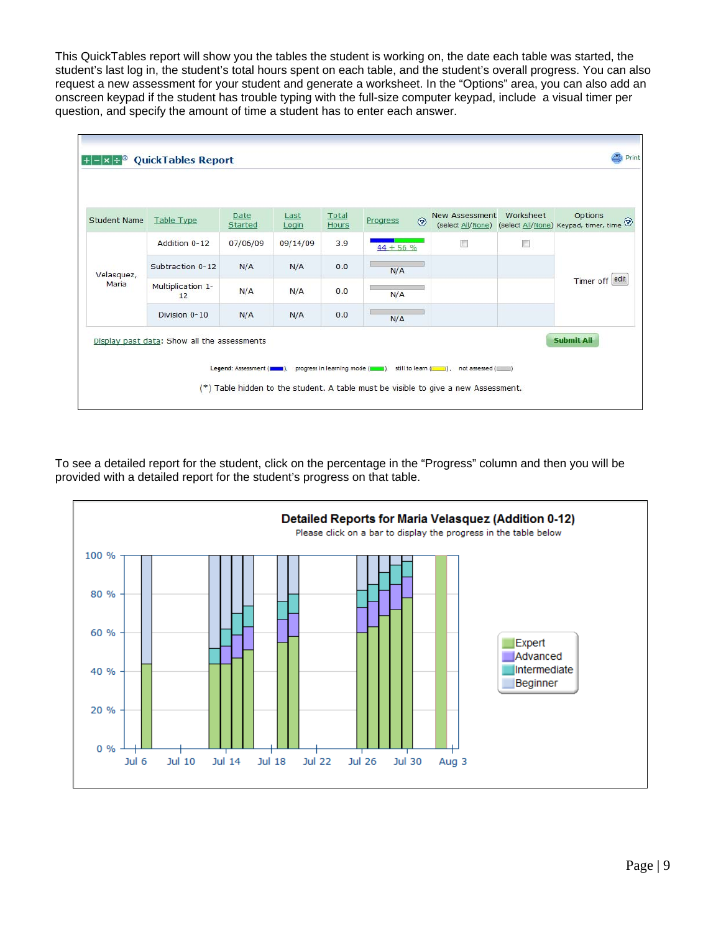This QuickTables report will show you the tables the student is working on, the date each table was started, the student's last log in, the student's total hours spent on each table, and the student's overall progress. You can also request a new assessment for your student and generate a worksheet. In the "Options" area, you can also add an onscreen keypad if the student has trouble typing with the full-size computer keypad, include a visual timer per question, and specify the amount of time a student has to enter each answer.

| Student Name | Table Type                                                                 | Date<br>Started | Last<br>Login | Total<br>Hours | $^{\circ}$<br>Progress | <b>New Assessment</b> | Worksheet      | Options<br>$\textbf{(select \underline{All/None})} \textbf{(select \underline{All/None})} \textbf{(seject \underline{All/None})} \textbf{(evpad, timer, time)} \textbf{?}$ |
|--------------|----------------------------------------------------------------------------|-----------------|---------------|----------------|------------------------|-----------------------|----------------|----------------------------------------------------------------------------------------------------------------------------------------------------------------------------|
|              | n<br>$\Box$<br>Addition 0-12<br>07/06/09<br>09/14/09<br>3.9<br>$44 + 56 %$ |                 |               |                |                        |                       |                |                                                                                                                                                                            |
| Velasquez,   | Subtraction 0-12                                                           | N/A             | N/A           | 0.0            | N/A                    |                       |                |                                                                                                                                                                            |
| Maria        | Multiplication 1-<br>12                                                    | N/A             | N/A           | 0.0            | N/A                    |                       | Timer off edit |                                                                                                                                                                            |
|              | Division 0-10                                                              | N/A             | N/A           | 0.0            | N/A                    |                       |                |                                                                                                                                                                            |
|              | Display past data: Show all the assessments                                |                 |               |                |                        |                       |                | <b>Submit All</b>                                                                                                                                                          |

To see a detailed report for the student, click on the percentage in the "Progress" column and then you will be provided with a detailed report for the student's progress on that table.

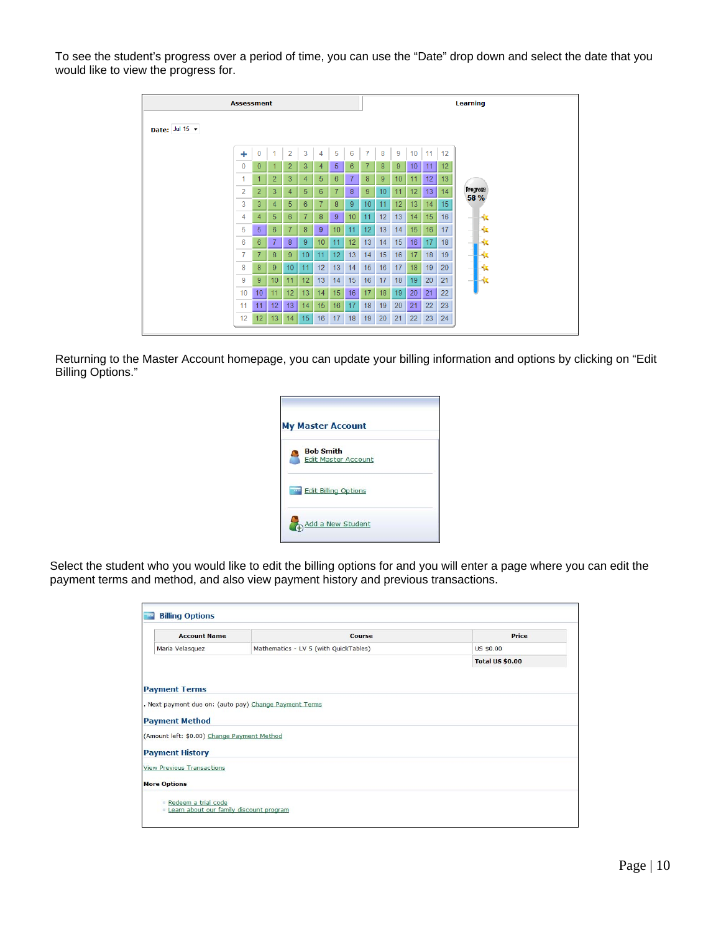To see the student's progress over a period of time, you can use the "Date" drop down and select the date that you would like to view the progress for.

|                |              | <b>Assessment</b> |                 |                |                |                  |                |         |                  |                 |                 |                 |    |                 | Learning                |
|----------------|--------------|-------------------|-----------------|----------------|----------------|------------------|----------------|---------|------------------|-----------------|-----------------|-----------------|----|-----------------|-------------------------|
| Date: Jul 15 - |              |                   |                 |                |                |                  |                |         |                  |                 |                 |                 |    |                 |                         |
|                | ÷            | $\mathbf{0}$      |                 | $\overline{2}$ | 3              | 4                | 5              | 6       | $\overline{7}$   | 8               | 9               | 10              | 11 | 12              |                         |
|                | $\mathbf{0}$ | $\mathbf{0}$      |                 | $\overline{2}$ | 3              | $\overline{4}$   | 5              | 6       | 7                | 8               | 9               | 10 <sup>°</sup> | 11 | 12 <sup>2</sup> |                         |
|                | 1            | 1                 | $\overline{2}$  | 3              | $\overline{4}$ | 5                | 6              | 7       | 8                | 9               | 10              | 11              | 12 | 13              |                         |
|                | 2            | $\overline{2}$    | 3               | 4              | 5              | 6                | $\overline{7}$ | $\bf 8$ | 9                | 10              | 11              | 12              | 13 | 14              | <b>Progress</b><br>58 % |
|                | 3            | 3                 | 4               | 5              | 6              | $\overline{7}$   | 8              | 9       | 10               | 11              | 12              | 13              | 14 | 15              |                         |
|                | 4            | $\overline{4}$    | 5               | 6              | $\overline{7}$ | 8                | 9              | 10      | 11               | 12              | 13 <sup>°</sup> | 14              | 15 | 16              | Hx                      |
|                | 5            | 5 <sup>1</sup>    | 6               | $\overline{7}$ | 8              | 9                | 10             | 11      | 12               | 13              | 14              | 15              | 16 | 17              | ۴x                      |
|                | 6            | 6                 | 7               | 8              | 9              | 10 <sup>10</sup> | 11             | 12      | 13               | 14              | 15              | 16              | 17 | 18              |                         |
|                | 7            | 7                 | 8               | 9              | 10             | 11               | 12             | 13      | 14               | 15 <sub>1</sub> | 16              | 17              | 18 | 19              | ۰z                      |
|                | 8            | 8                 | 9               | 10             | 11             | 12               | 13             | 14      | 15 <sub>15</sub> | 16              | 17              | 18              | 19 | 20              |                         |
|                | 9            | 9                 | 10              | 11             | 12             | 13               | 14             | 15      | 16               | 17              | 18              | 19              | 20 | 21              | ıю                      |
|                | 10           | 10 <sup>1</sup>   | 11              | 12             | 13             | 14               | 15             | 16      | 17               | 18              | 19              | 20              | 21 | 22              |                         |
|                | 11           | 11                | 12              | 13             | 14             | 15               | 16             | 17      | 18               | 19              | 20              | 21              | 22 | 23              |                         |
|                | 12           | 12 <sup>2</sup>   | 13 <sup>°</sup> | 14             | 15             | 16               | 17             | 18      | 19               | 20              | 21              | 22              | 23 | 24              |                         |

Returning to the Master Account homepage, you can update your billing information and options by clicking on "Edit Billing Options."

| <b>My Master Account</b> |                                                |  |
|--------------------------|------------------------------------------------|--|
|                          | <b>Bob Smith</b><br><b>Edit Master Account</b> |  |
|                          | <b>Edit Billing Options</b>                    |  |
|                          | Add a New Student                              |  |

Select the student who you would like to edit the billing options for and you will enter a page where you can edit the payment terms and method, and also view payment history and previous transactions.

| <b>Account Name</b>                                                  | Course                                | Price                  |
|----------------------------------------------------------------------|---------------------------------------|------------------------|
| Maria Velasquez                                                      | Mathematics - LV 5 (with QuickTables) | US \$0.00              |
|                                                                      |                                       | <b>Total US \$0.00</b> |
| <b>Payment Method</b><br>(Amount left: \$0.00) Change Payment Method |                                       |                        |
| <b>Payment History</b>                                               |                                       |                        |
| <b>View Previous Transactions</b>                                    |                                       |                        |
|                                                                      |                                       |                        |